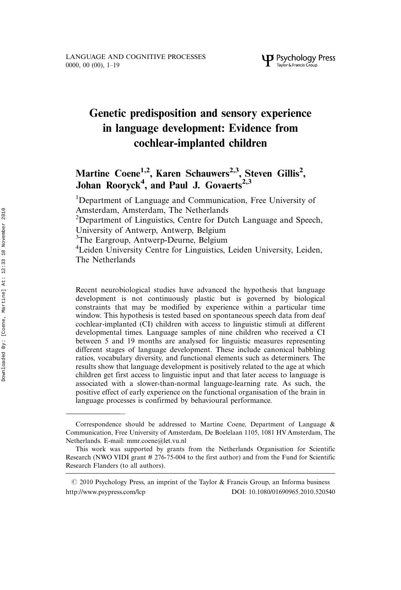# Genetic predisposition and sensory experience in language development: Evidence from cochlear-implanted children

## Martine Coene<sup>1,2</sup>, Karen Schauwers<sup>2,3</sup>, Steven Gillis<sup>2</sup>, Johan Rooryck<sup>4</sup>, and Paul J. Govaerts<sup>2,3</sup>

<sup>1</sup>Department of Language and Communication, Free University of Amsterdam, Amsterdam, The Netherlands <sup>2</sup>Department of Linguistics, Centre for Dutch Language and Speech, University of Antwerp, Antwerp, Belgium <sup>3</sup>The Eargroup, Antwerp-Deurne, Belgium 4 Leiden University Centre for Linguistics, Leiden University, Leiden, The Netherlands

Recent neurobiological studies have advanced the hypothesis that language development is not continuously plastic but is governed by biological constraints that may be modified by experience within a particular time window. This hypothesis is tested based on spontaneous speech data from deaf cochlear-implanted (CI) children with access to linguistic stimuli at different developmental times. Language samples of nine children who received a CI between 5 and 19 months are analysed for linguistic measures representing different stages of language development. These include canonical babbling ratios, vocabulary diversity, and functional elements such as determiners. The results show that language development is positively related to the age at which children get first access to linguistic input and that later access to language is associated with a slower-than-normal language-learning rate. As such, the positive effect of early experience on the functional organisation of the brain in language processes is confirmed by behavioural performance.

Correspondence should be addressed to Martine Coene, Department of Language & Communication, Free University of Amsterdam, De Boelelaan 1105, 1081 HV Amsterdam, The Netherlands. E-mail: mmr.coene@let.vu.nl

This work was supported by grants from the Netherlands Organisation for Scientific Research (NWO VIDI grant # 276-75-004 to the first author) and from the Fund for Scientific Research Flanders (to all authors).

 $\odot$  2010 Psychology Press, an imprint of the Taylor & Francis Group, an Informa business http://www.psypress.com/lcp DOI: 10.1080/01690965.2010.520540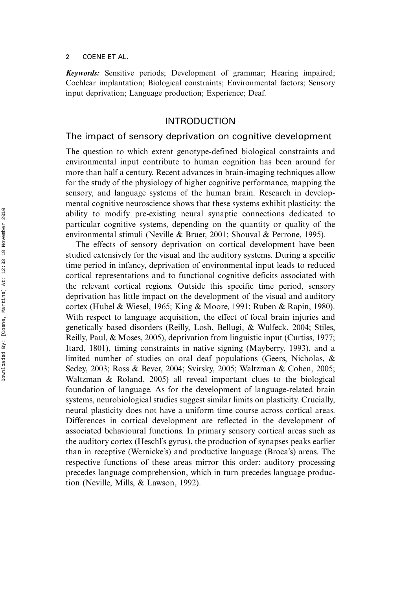Keywords: Sensitive periods; Development of grammar; Hearing impaired; Cochlear implantation; Biological constraints; Environmental factors; Sensory input deprivation; Language production; Experience; Deaf.

## INTRODUCTION

## The impact of sensory deprivation on cognitive development

The question to which extent genotype-defined biological constraints and environmental input contribute to human cognition has been around for more than half a century. Recent advances in brain-imaging techniques allow for the study of the physiology of higher cognitive performance, mapping the sensory, and language systems of the human brain. Research in developmental cognitive neuroscience shows that these systems exhibit plasticity: the ability to modify pre-existing neural synaptic connections dedicated to particular cognitive systems, depending on the quantity or quality of the environmental stimuli (Neville & Bruer, 2001; Shouval & Perrone, 1995).

The effects of sensory deprivation on cortical development have been studied extensively for the visual and the auditory systems. During a specific time period in infancy, deprivation of environmental input leads to reduced cortical representations and to functional cognitive deficits associated with the relevant cortical regions. Outside this specific time period, sensory deprivation has little impact on the development of the visual and auditory cortex (Hubel & Wiesel, 1965; King & Moore, 1991; Ruben & Rapin, 1980). With respect to language acquisition, the effect of focal brain injuries and genetically based disorders (Reilly, Losh, Bellugi, & Wulfeck, 2004; Stiles, Reilly, Paul, & Moses, 2005), deprivation from linguistic input (Curtiss, 1977; Itard, 1801), timing constraints in native signing (Mayberry, 1993), and a limited number of studies on oral deaf populations (Geers, Nicholas, & Sedey, 2003; Ross & Bever, 2004; Svirsky, 2005; Waltzman & Cohen, 2005; Waltzman & Roland, 2005) all reveal important clues to the biological foundation of language. As for the development of language-related brain systems, neurobiological studies suggest similar limits on plasticity. Crucially, neural plasticity does not have a uniform time course across cortical areas. Differences in cortical development are reflected in the development of associated behavioural functions. In primary sensory cortical areas such as the auditory cortex (Heschl's gyrus), the production of synapses peaks earlier than in receptive (Wernicke's) and productive language (Broca's) areas. The respective functions of these areas mirror this order: auditory processing precedes language comprehension, which in turn precedes language production (Neville, Mills, & Lawson, 1992).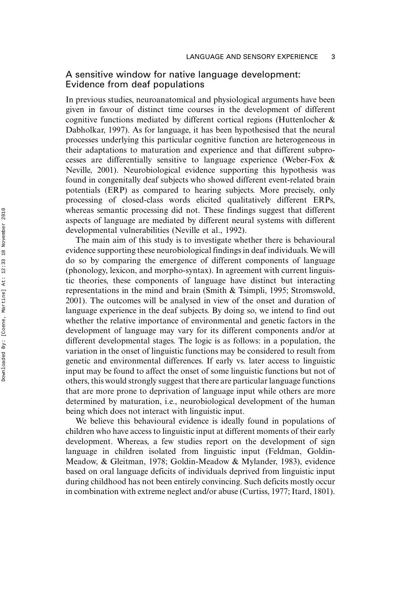## A sensitive window for native language development: Evidence from deaf populations

In previous studies, neuroanatomical and physiological arguments have been given in favour of distinct time courses in the development of different cognitive functions mediated by different cortical regions (Huttenlocher & Dabholkar, 1997). As for language, it has been hypothesised that the neural processes underlying this particular cognitive function are heterogeneous in their adaptations to maturation and experience and that different subprocesses are differentially sensitive to language experience (Weber-Fox & Neville, 2001). Neurobiological evidence supporting this hypothesis was found in congenitally deaf subjects who showed different event-related brain potentials (ERP) as compared to hearing subjects. More precisely, only processing of closed-class words elicited qualitatively different ERPs, whereas semantic processing did not. These findings suggest that different aspects of language are mediated by different neural systems with different developmental vulnerabilities (Neville et al., 1992).

The main aim of this study is to investigate whether there is behavioural evidence supporting these neurobiological findings in deaf individuals. We will do so by comparing the emergence of different components of language (phonology, lexicon, and morpho-syntax). In agreement with current linguistic theories, these components of language have distinct but interacting representations in the mind and brain (Smith & Tsimpli, 1995; Stromswold, 2001). The outcomes will be analysed in view of the onset and duration of language experience in the deaf subjects. By doing so, we intend to find out whether the relative importance of environmental and genetic factors in the development of language may vary for its different components and/or at different developmental stages. The logic is as follows: in a population, the variation in the onset of linguistic functions may be considered to result from genetic and environmental differences. If early vs. later access to linguistic input may be found to affect the onset of some linguistic functions but not of others, this would strongly suggest that there are particular language functions that are more prone to deprivation of language input while others are more determined by maturation, i.e., neurobiological development of the human being which does not interact with linguistic input.

We believe this behavioural evidence is ideally found in populations of children who have access to linguistic input at different moments of their early development. Whereas, a few studies report on the development of sign language in children isolated from linguistic input (Feldman, Goldin-Meadow, & Gleitman, 1978; Goldin-Meadow & Mylander, 1983), evidence based on oral language deficits of individuals deprived from linguistic input during childhood has not been entirely convincing. Such deficits mostly occur in combination with extreme neglect and/or abuse (Curtiss, 1977; Itard, 1801).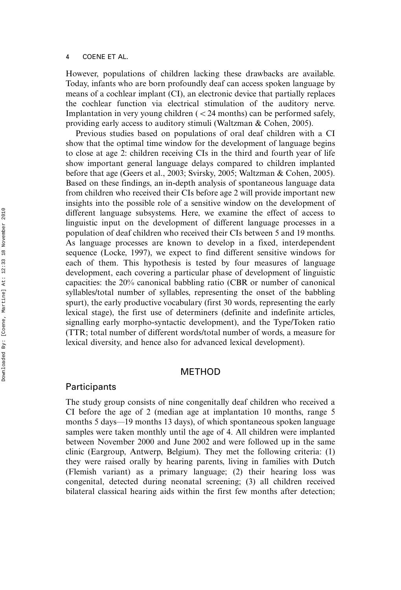However, populations of children lacking these drawbacks are available. Today, infants who are born profoundly deaf can access spoken language by means of a cochlear implant (CI), an electronic device that partially replaces the cochlear function via electrical stimulation of the auditory nerve. Implantation in very young children  $\zeta \leq 24$  months) can be performed safely. providing early access to auditory stimuli (Waltzman & Cohen, 2005).

Previous studies based on populations of oral deaf children with a CI show that the optimal time window for the development of language begins to close at age 2: children receiving CIs in the third and fourth year of life show important general language delays compared to children implanted before that age (Geers et al., 2003; Svirsky, 2005; Waltzman & Cohen, 2005). Based on these findings, an in-depth analysis of spontaneous language data from children who received their CIs before age 2 will provide important new insights into the possible role of a sensitive window on the development of different language subsystems. Here, we examine the effect of access to linguistic input on the development of different language processes in a population of deaf children who received their CIs between 5 and 19 months. As language processes are known to develop in a fixed, interdependent sequence (Locke, 1997), we expect to find different sensitive windows for each of them. This hypothesis is tested by four measures of language development, each covering a particular phase of development of linguistic capacities: the 20% canonical babbling ratio (CBR or number of canonical syllables/total number of syllables, representing the onset of the babbling spurt), the early productive vocabulary (first 30 words, representing the early lexical stage), the first use of determiners (definite and indefinite articles, signalling early morpho-syntactic development), and the Type/Token ratio (TTR; total number of different words/total number of words, a measure for lexical diversity, and hence also for advanced lexical development).

## **METHOD**

## **Participants**

The study group consists of nine congenitally deaf children who received a CI before the age of 2 (median age at implantation 10 months, range 5 months 5 days—19 months 13 days), of which spontaneous spoken language samples were taken monthly until the age of 4. All children were implanted between November 2000 and June 2002 and were followed up in the same clinic (Eargroup, Antwerp, Belgium). They met the following criteria: (1) they were raised orally by hearing parents, living in families with Dutch (Flemish variant) as a primary language; (2) their hearing loss was congenital, detected during neonatal screening; (3) all children received bilateral classical hearing aids within the first few months after detection;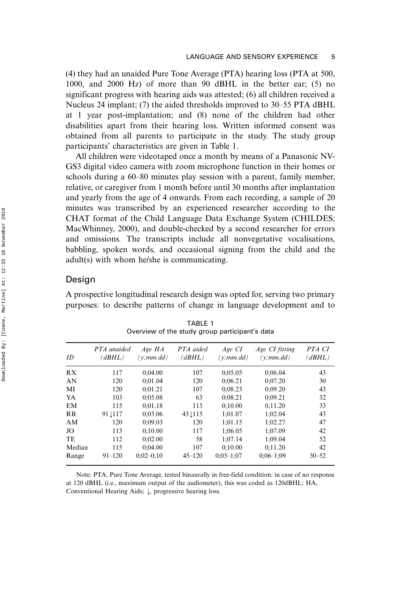(4) they had an unaided Pure Tone Average (PTA) hearing loss (PTA at 500, 1000, and 2000 Hz) of more than 90 dBHL in the better ear; (5) no significant progress with hearing aids was attested; (6) all children received a Nucleus 24 implant;  $(7)$  the aided thresholds improved to 30–55 PTA dBHL at 1 year post-implantation; and (8) none of the children had other disabilities apart from their hearing loss. Written informed consent was obtained from all parents to participate in the study. The study group participants' characteristics are given in Table 1.

All children were videotaped once a month by means of a Panasonic NV-GS3 digital video camera with zoom microphone function in their homes or schools during a 60–80 minutes play session with a parent, family member, relative, or caregiver from 1 month before until 30 months after implantation and yearly from the age of 4 onwards. From each recording, a sample of 20 minutes was transcribed by an experienced researcher according to the CHAT format of the Child Language Data Exchange System (CHILDES; MacWhinney, 2000), and double-checked by a second researcher for errors and omissions. The transcripts include all nonvegetative vocalisations, babbling, spoken words, and occasional signing from the child and the adult(s) with whom he/she is communicating.

#### Design

A prospective longitudinal research design was opted for, serving two primary purposes: to describe patterns of change in language development and to

| ID        | PTA unaided<br>(dBHL) | Age HA<br>(y;mm,dd) | PTA aided<br>dBHL | Age CI<br>(y;mm, dd) | Age CI fitting<br>(v:mm.dd) | PTA CI<br>(dBHL) |
|-----------|-----------------------|---------------------|-------------------|----------------------|-----------------------------|------------------|
| RX        | 117                   | 0:04.00             | 107               | 0:05.05              | 0:06.04                     | 43               |
| AN        | 120                   | 0:01.04             | 120               | 0:06.21              | 0:07.20                     | 30               |
| MI        | 120                   | 0:01.21             | 107               | 0:08.23              | 0:09.20                     | 43               |
| YA        | 103                   | 0:05.08             | 63                | 0:08.21              | 0:09.21                     | 32               |
| EM        | 115                   | 0:01.18             | 113               | 0:10.00              | 0:11.20                     | 33               |
| RB        | 91 117                | 0:03.06             | 45 115            | 1:01.07              | 1:02.04                     | 43               |
| AM        | 120                   | 0:09.03             | 120               | 1:01.15              | 1:02.27                     | 47               |
| JO        | 113                   | 0:10.00             | 117               | 1:06.05              | 1:07.09                     | 42               |
| <b>TE</b> | 112                   | 0:02.00             | 58                | 1:07.14              | 1:09.04                     | 52               |
| Median    | 115                   | 0:04.00             | 107               | 0:10.00              | 0:11.20                     | 42               |
| Range     | $91 - 120$            | $0:02-0:10$         | $45 - 120$        | $0:05-1:07$          | $0:06-1:09$                 | $30 - 52$        |

TABLE 1 Overview of the study group participant's data

Note: PTA, Pure Tone Average, tested binaurally in free-field condition: in case of no response at 120 dBHL (i.e., maximum output of the audiometer), this was coded as 120dBHL; HA, Conventional Hearing Aids;  $\downarrow$ , progressive hearing loss.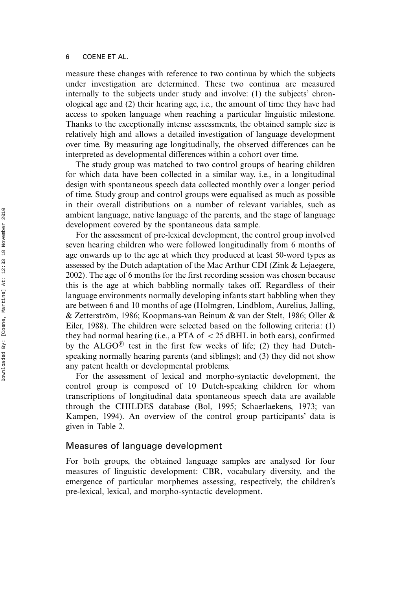measure these changes with reference to two continua by which the subjects under investigation are determined. These two continua are measured internally to the subjects under study and involve: (1) the subjects' chronological age and (2) their hearing age, i.e., the amount of time they have had access to spoken language when reaching a particular linguistic milestone. Thanks to the exceptionally intense assessments, the obtained sample size is relatively high and allows a detailed investigation of language development over time. By measuring age longitudinally, the observed differences can be interpreted as developmental differences within a cohort over time.

The study group was matched to two control groups of hearing children for which data have been collected in a similar way, i.e., in a longitudinal design with spontaneous speech data collected monthly over a longer period of time. Study group and control groups were equalised as much as possible in their overall distributions on a number of relevant variables, such as ambient language, native language of the parents, and the stage of language development covered by the spontaneous data sample.

For the assessment of pre-lexical development, the control group involved seven hearing children who were followed longitudinally from 6 months of age onwards up to the age at which they produced at least 50-word types as assessed by the Dutch adaptation of the Mac Arthur CDI (Zink & Lejaegere, 2002). The age of 6 months for the first recording session was chosen because this is the age at which babbling normally takes off. Regardless of their language environments normally developing infants start babbling when they are between 6 and 10 months of age (Holmgren, Lindblom, Aurelius, Jalling, & Zetterström, 1986; Koopmans-van Beinum & van der Stelt, 1986; Oller & Eiler, 1988). The children were selected based on the following criteria: (1) they had normal hearing (i.e., a PTA of  $\langle$  25 dBHL in both ears), confirmed by the ALGO $<sup>®</sup>$  test in the first few weeks of life; (2) they had Dutch-</sup> speaking normally hearing parents (and siblings); and (3) they did not show any patent health or developmental problems.

For the assessment of lexical and morpho-syntactic development, the control group is composed of 10 Dutch-speaking children for whom transcriptions of longitudinal data spontaneous speech data are available through the CHILDES database (Bol, 1995; Schaerlaekens, 1973; van Kampen, 1994). An overview of the control group participants' data is given in Table 2.

## Measures of language development

For both groups, the obtained language samples are analysed for four measures of linguistic development: CBR, vocabulary diversity, and the emergence of particular morphemes assessing, respectively, the children's pre-lexical, lexical, and morpho-syntactic development.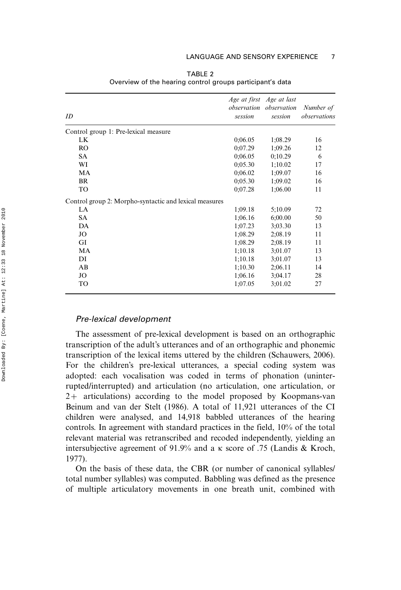| ID                                                     | session | Age at first Age at last<br>observation observation<br>session | Number of<br>observations |
|--------------------------------------------------------|---------|----------------------------------------------------------------|---------------------------|
| Control group 1: Pre-lexical measure                   |         |                                                                |                           |
| <b>LK</b>                                              | 0:06.05 | 1:08.29                                                        | 16                        |
| RO.                                                    | 0:07.29 | 1:09.26                                                        | 12                        |
| SA                                                     | 0:06.05 | 0:10.29                                                        | 6                         |
| WI                                                     | 0:05.30 | 1:10.02                                                        | 17                        |
| MA                                                     | 0:06.02 | 1:09.07                                                        | 16                        |
| BR                                                     | 0:05.30 | 1:09.02                                                        | 16                        |
| TO                                                     | 0:07.28 | 1:06.00                                                        | 11                        |
| Control group 2: Morpho-syntactic and lexical measures |         |                                                                |                           |
| LA                                                     | 1:09.18 | 5:10.09                                                        | 72                        |
| <b>SA</b>                                              | 1:06.16 | 6:00.00                                                        | 50                        |
| DA                                                     | 1:07.23 | 3:03.30                                                        | 13                        |
| JO                                                     | 1:08.29 | 2:08.19                                                        | 11                        |
| GI                                                     | 1:08.29 | 2:08.19                                                        | 11                        |
| MA                                                     | 1:10.18 | 3:01.07                                                        | 13                        |
| DI                                                     | 1:10.18 | 3:01.07                                                        | 13                        |
| AB                                                     | 1:10.30 | 2:06.11                                                        | 14                        |
| JO                                                     | 1:06.16 | 3:04.17                                                        | 28                        |
| TO                                                     | 1:07.05 | 3;01.02                                                        | 27                        |

TARI F 2 Overview of the hearing control groups participant's data

#### Pre-lexical development

The assessment of pre-lexical development is based on an orthographic transcription of the adult's utterances and of an orthographic and phonemic transcription of the lexical items uttered by the children (Schauwers, 2006). For the children's pre-lexical utterances, a special coding system was adopted: each vocalisation was coded in terms of phonation (uninterrupted/interrupted) and articulation (no articulation, one articulation, or 2+ articulations) according to the model proposed by Koopmans-van Beinum and van der Stelt (1986). A total of 11,921 utterances of the CI children were analysed, and 14,918 babbled utterances of the hearing controls. In agreement with standard practices in the field, 10% of the total relevant material was retranscribed and recoded independently, yielding an intersubjective agreement of 91.9% and a k score of .75 (Landis & Kroch, 1977).

On the basis of these data, the CBR (or number of canonical syllables/ total number syllables) was computed. Babbling was defined as the presence of multiple articulatory movements in one breath unit, combined with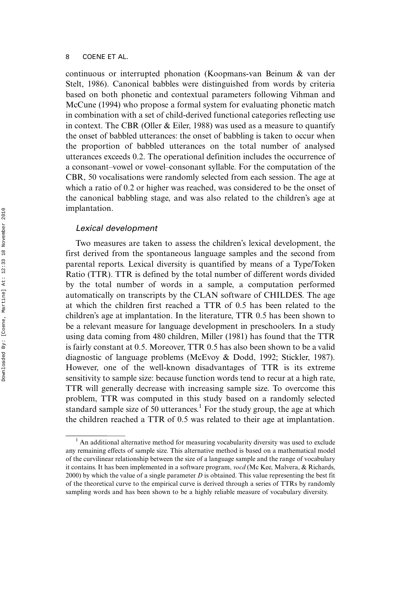continuous or interrupted phonation (Koopmans-van Beinum & van der Stelt, 1986). Canonical babbles were distinguished from words by criteria based on both phonetic and contextual parameters following Vihman and McCune (1994) who propose a formal system for evaluating phonetic match in combination with a set of child-derived functional categories reflecting use in context. The CBR (Oller  $&$  Eiler, 1988) was used as a measure to quantify the onset of babbled utterances: the onset of babbling is taken to occur when the proportion of babbled utterances on the total number of analysed utterances exceeds 0.2. The operational definition includes the occurrence of a consonant-vowel or vowel-consonant syllable. For the computation of the CBR, 50 vocalisations were randomly selected from each session. The age at which a ratio of 0.2 or higher was reached, was considered to be the onset of the canonical babbling stage, and was also related to the children's age at implantation.

#### Lexical development

Two measures are taken to assess the children's lexical development, the first derived from the spontaneous language samples and the second from parental reports. Lexical diversity is quantified by means of a Type/Token Ratio (TTR). TTR is defined by the total number of different words divided by the total number of words in a sample, a computation performed automatically on transcripts by the CLAN software of CHILDES. The age at which the children first reached a TTR of 0.5 has been related to the children's age at implantation. In the literature, TTR 0.5 has been shown to be a relevant measure for language development in preschoolers. In a study using data coming from 480 children, Miller (1981) has found that the TTR is fairly constant at 0.5. Moreover, TTR 0.5 has also been shown to be a valid diagnostic of language problems (McEvoy & Dodd, 1992; Stickler, 1987). However, one of the well-known disadvantages of TTR is its extreme sensitivity to sample size: because function words tend to recur at a high rate, TTR will generally decrease with increasing sample size. To overcome this problem, TTR was computed in this study based on a randomly selected standard sample size of 50 utterances.<sup>1</sup> For the study group, the age at which the children reached a TTR of 0.5 was related to their age at implantation.

<sup>&</sup>lt;sup>1</sup> An additional alternative method for measuring vocabularity diversity was used to exclude any remaining effects of sample size. This alternative method is based on a mathematical model of the curvilinear relationship between the size of a language sample and the range of vocabulary it contains. It has been implemented in a software program, vocd (Mc Kee, Malvera, & Richards, 2000) by which the value of a single parameter  $D$  is obtained. This value representing the best fit of the theoretical curve to the empirical curve is derived through a series of TTRs by randomly sampling words and has been shown to be a highly reliable measure of vocabulary diversity.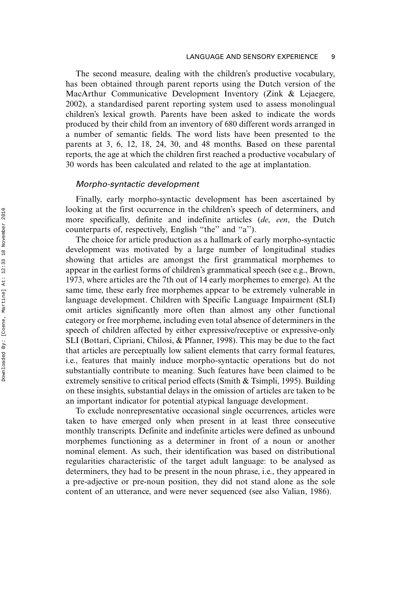The second measure, dealing with the children's productive vocabulary, has been obtained through parent reports using the Dutch version of the MacArthur Communicative Development Inventory (Zink & Lejaegere, 2002), a standardised parent reporting system used to assess monolingual children's lexical growth. Parents have been asked to indicate the words produced by their child from an inventory of 680 different words arranged in a number of semantic fields. The word lists have been presented to the parents at 3, 6, 12, 18, 24, 30, and 48 months. Based on these parental reports, the age at which the children first reached a productive vocabulary of 30 words has been calculated and related to the age at implantation.

#### Morpho-syntactic development

Finally, early morpho-syntactic development has been ascertained by looking at the first occurrence in the children's speech of determiners, and more specifically, definite and indefinite articles (de, een, the Dutch counterparts of, respectively, English ''the'' and ''a'').

The choice for article production as a hallmark of early morpho-syntactic development was motivated by a large number of longitudinal studies showing that articles are amongst the first grammatical morphemes to appear in the earliest forms of children's grammatical speech (see e.g., Brown, 1973, where articles are the 7th out of 14 early morphemes to emerge). At the same time, these early free morphemes appear to be extremely vulnerable in language development. Children with Specific Language Impairment (SLI) omit articles significantly more often than almost any other functional category or free morpheme, including even total absence of determiners in the speech of children affected by either expressive/receptive or expressive-only SLI (Bottari, Cipriani, Chilosi, & Pfanner, 1998). This may be due to the fact that articles are perceptually low salient elements that carry formal features, i.e., features that mainly induce morpho-syntactic operations but do not substantially contribute to meaning. Such features have been claimed to be extremely sensitive to critical period effects (Smith & Tsimpli, 1995). Building on these insights, substantial delays in the omission of articles are taken to be an important indicator for potential atypical language development.

To exclude nonrepresentative occasional single occurrences, articles were taken to have emerged only when present in at least three consecutive monthly transcripts. Definite and indefinite articles were defined as unbound morphemes functioning as a determiner in front of a noun or another nominal element. As such, their identification was based on distributional regularities characteristic of the target adult language: to be analysed as determiners, they had to be present in the noun phrase, i.e., they appeared in a pre-adjective or pre-noun position, they did not stand alone as the sole content of an utterance, and were never sequenced (see also Valian, 1986).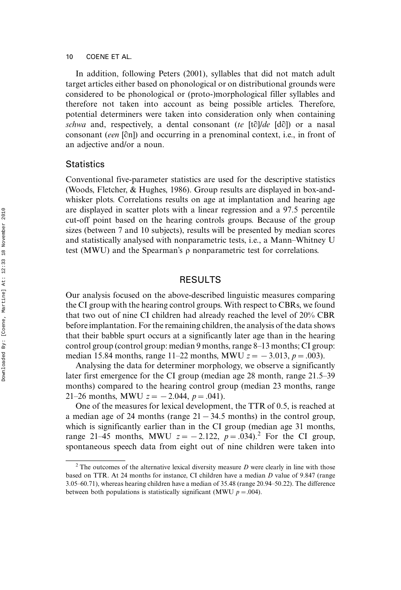In addition, following Peters (2001), syllables that did not match adult target articles either based on phonological or on distributional grounds were considered to be phonological or (proto-)morphological filler syllables and therefore not taken into account as being possible articles. Therefore, potential determiners were taken into consideration only when containing schwa and, respectively, a dental consonant (te  $[t\partial d\partial \phi]$ ) or a nasal consonant (een [0n]) and occurring in a prenominal context, i.e., in front of an adjective and/or a noun.

## **Statistics**

Conventional five-parameter statistics are used for the descriptive statistics (Woods, Fletcher, & Hughes, 1986). Group results are displayed in box-andwhisker plots. Correlations results on age at implantation and hearing age are displayed in scatter plots with a linear regression and a 97.5 percentile cut-off point based on the hearing controls groups. Because of the group sizes (between 7 and 10 subjects), results will be presented by median scores and statistically analysed with nonparametric tests, i.e., a Mann–Whitney U test (MWU) and the Spearman's  $\rho$  nonparametric test for correlations.

## RESULTS

Our analysis focused on the above-described linguistic measures comparing the CI group with the hearing control groups. With respect to CBRs, we found that two out of nine CI children had already reached the level of 20% CBR before implantation. For the remaining children, the analysis of the data shows that their babble spurt occurs at a significantly later age than in the hearing control group (control group: median 9 months, range  $8-13$  months; CI group: median 15.84 months, range 11–22 months, MWU  $z = -3.013$ ,  $p = .003$ ).

Analysing the data for determiner morphology, we observe a significantly later first emergence for the CI group (median age 28 month, range  $21.5-39$ ) months) compared to the hearing control group (median 23 months, range 21–26 months, MWU  $z = -2.044$ ,  $p = .041$ ).

One of the measures for lexical development, the TTR of 0.5, is reached at a median age of 24 months (range  $21-34.5$  months) in the control group, which is significantly earlier than in the CI group (median age 31 months, range 21–45 months, MWU  $z = -2.122$ ,  $p = .034$ ).<sup>2</sup> For the CI group, spontaneous speech data from eight out of nine children were taken into

 $2$  The outcomes of the alternative lexical diversity measure D were clearly in line with those based on TTR. At 24 months for instance, CI children have a median D value of 9.847 (range 3.0560.71), whereas hearing children have a median of 35.48 (range 20.9450.22). The difference between both populations is statistically significant (MWU  $p = 0.004$ ).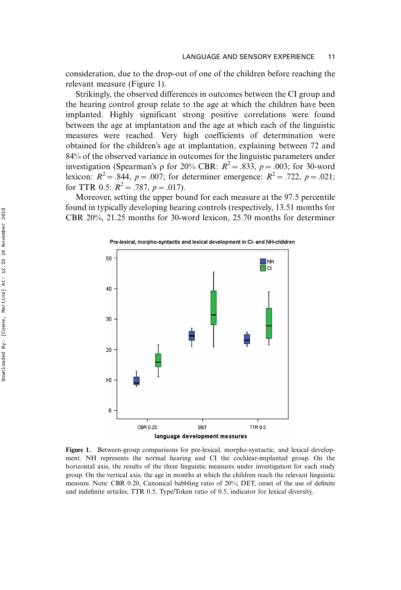consideration, due to the drop-out of one of the children before reaching the relevant measure (Figure 1).

Strikingly, the observed differences in outcomes between the CI group and the hearing control group relate to the age at which the children have been implanted. Highly significant strong positive correlations were found between the age at implantation and the age at which each of the linguistic measures were reached. Very high coefficients of determination were obtained for the children's age at implantation, explaining between 72 and 84% of the observed variance in outcomes for the linguistic parameters under investigation (Spearman's  $\rho$  for 20% CBR:  $R^2 = .833$ ,  $p = .003$ ; for 30-word lexicon:  $R^2 = .844$ ,  $p = .007$ ; for determiner emergence:  $R^2 = .722$ ,  $p = .021$ ; for TTR 0.5:  $R^2 = .787$ ,  $p = .017$ ).

Moreover, setting the upper bound for each measure at the 97.5 percentile found in typically developing hearing controls (respectively, 13.51 months for CBR 20%, 21.25 months for 30-word lexicon, 25.70 months for determiner



Figure 1. Between-group comparisons for pre-lexical, morpho-syntactic, and lexical development. NH represents the normal hearing and CI the cochlear-implanted group. On the horizontal axis, the results of the three linguistic measures under investigation for each study group. On the vertical axis, the age in months at which the children reach the relevant linguistic measure. Note: CBR 0.20, Canonical babbling ratio of 20%; DET, onset of the use of definite and indefinite articles; TTR 0.5, Type/Token ratio of 0.5, indicator for lexical diversity.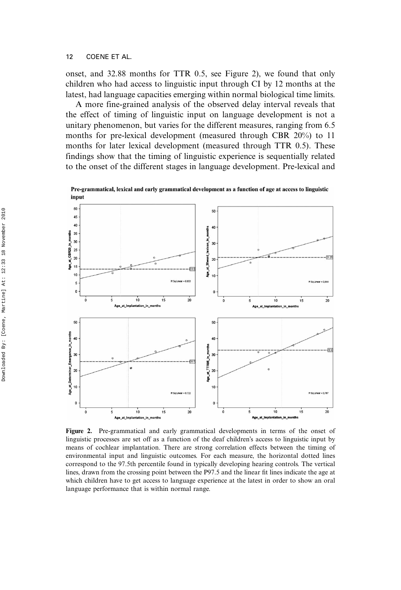onset, and 32.88 months for TTR 0.5, see Figure 2), we found that only children who had access to linguistic input through CI by 12 months at the latest, had language capacities emerging within normal biological time limits.

A more fine-grained analysis of the observed delay interval reveals that the effect of timing of linguistic input on language development is not a unitary phenomenon, but varies for the different measures, ranging from 6.5 months for pre-lexical development (measured through CBR 20%) to 11 months for later lexical development (measured through TTR 0.5). These findings show that the timing of linguistic experience is sequentially related to the onset of the different stages in language development. Pre-lexical and



Pre-grammatical, lexical and early grammatical development as a function of age at access to linguistic

Figure 2. Pre-grammatical and early grammatical developments in terms of the onset of linguistic processes are set off as a function of the deaf children's access to linguistic input by means of cochlear implantation. There are strong correlation effects between the timing of environmental input and linguistic outcomes. For each measure, the horizontal dotted lines correspond to the 97.5th percentile found in typically developing hearing controls. The vertical lines, drawn from the crossing point between the P97.5 and the linear fit lines indicate the age at which children have to get access to language experience at the latest in order to show an oral language performance that is within normal range.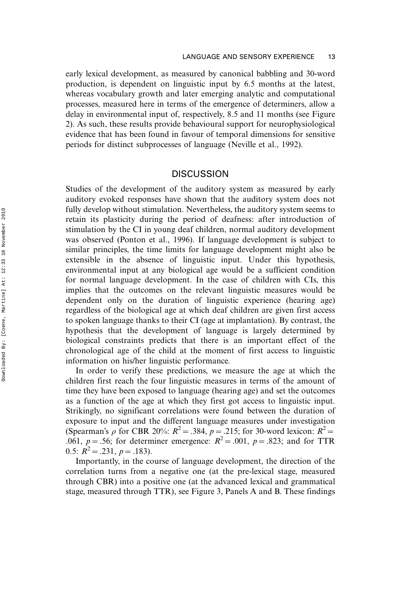early lexical development, as measured by canonical babbling and 30-word production, is dependent on linguistic input by 6.5 months at the latest, whereas vocabulary growth and later emerging analytic and computational processes, measured here in terms of the emergence of determiners, allow a delay in environmental input of, respectively, 8.5 and 11 months (see Figure 2). As such, these results provide behavioural support for neurophysiological evidence that has been found in favour of temporal dimensions for sensitive periods for distinct subprocesses of language (Neville et al., 1992).

## **DISCUSSION**

Studies of the development of the auditory system as measured by early auditory evoked responses have shown that the auditory system does not fully develop without stimulation. Nevertheless, the auditory system seems to retain its plasticity during the period of deafness: after introduction of stimulation by the CI in young deaf children, normal auditory development was observed (Ponton et al., 1996). If language development is subject to similar principles, the time limits for language development might also be extensible in the absence of linguistic input. Under this hypothesis, environmental input at any biological age would be a sufficient condition for normal language development. In the case of children with CIs, this implies that the outcomes on the relevant linguistic measures would be dependent only on the duration of linguistic experience (hearing age) regardless of the biological age at which deaf children are given first access to spoken language thanks to their CI (age at implantation). By contrast, the hypothesis that the development of language is largely determined by biological constraints predicts that there is an important effect of the chronological age of the child at the moment of first access to linguistic information on his/her linguistic performance.

In order to verify these predictions, we measure the age at which the children first reach the four linguistic measures in terms of the amount of time they have been exposed to language (hearing age) and set the outcomes as a function of the age at which they first got access to linguistic input. Strikingly, no significant correlations were found between the duration of exposure to input and the different language measures under investigation (Spearman's  $\rho$  for CBR 20%:  $R^2 = .384$ ,  $p = .215$ ; for 30-word lexicon:  $R^2 =$ .061,  $p = .56$ ; for determiner emergence:  $R^2 = .001$ ,  $p = .823$ ; and for TTR 0.5:  $R^2 = .231, p = .183$ .

Importantly, in the course of language development, the direction of the correlation turns from a negative one (at the pre-lexical stage, measured through CBR) into a positive one (at the advanced lexical and grammatical stage, measured through TTR), see Figure 3, Panels A and B. These findings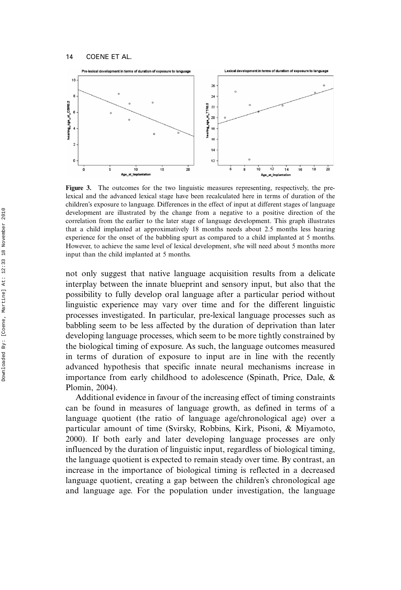

Figure 3. The outcomes for the two linguistic measures representing, respectively, the prelexical and the advanced lexical stage have been recalculated here in terms of duration of the children's exposure to language. Differences in the effect of input at different stages of language development are illustrated by the change from a negative to a positive direction of the correlation from the earlier to the later stage of language development. This graph illustrates that a child implanted at approximatively 18 months needs about 2.5 months less hearing experience for the onset of the babbling spurt as compared to a child implanted at 5 months. However, to achieve the same level of lexical development, s/he will need about 5 months more input than the child implanted at 5 months.

not only suggest that native language acquisition results from a delicate interplay between the innate blueprint and sensory input, but also that the possibility to fully develop oral language after a particular period without linguistic experience may vary over time and for the different linguistic processes investigated. In particular, pre-lexical language processes such as babbling seem to be less affected by the duration of deprivation than later developing language processes, which seem to be more tightly constrained by the biological timing of exposure. As such, the language outcomes measured in terms of duration of exposure to input are in line with the recently advanced hypothesis that specific innate neural mechanisms increase in importance from early childhood to adolescence (Spinath, Price, Dale, & Plomin, 2004).

Additional evidence in favour of the increasing effect of timing constraints can be found in measures of language growth, as defined in terms of a language quotient (the ratio of language age/chronological age) over a particular amount of time (Svirsky, Robbins, Kirk, Pisoni, & Miyamoto, 2000). If both early and later developing language processes are only influenced by the duration of linguistic input, regardless of biological timing, the language quotient is expected to remain steady over time. By contrast, an increase in the importance of biological timing is reflected in a decreased language quotient, creating a gap between the children's chronological age and language age. For the population under investigation, the language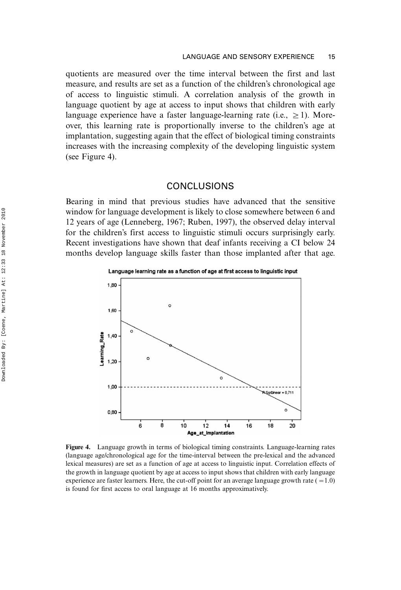quotients are measured over the time interval between the first and last measure, and results are set as a function of the children's chronological age of access to linguistic stimuli. A correlation analysis of the growth in language quotient by age at access to input shows that children with early language experience have a faster language-learning rate (i.e.,  $\geq$  1). Moreover, this learning rate is proportionally inverse to the children's age at implantation, suggesting again that the effect of biological timing constraints increases with the increasing complexity of the developing linguistic system (see Figure 4).

## CONCLUSIONS

Bearing in mind that previous studies have advanced that the sensitive window for language development is likely to close somewhere between 6 and 12 years of age (Lenneberg, 1967; Ruben, 1997), the observed delay interval for the children's first access to linguistic stimuli occurs surprisingly early. Recent investigations have shown that deaf infants receiving a CI below 24 months develop language skills faster than those implanted after that age.



Figure 4. Language growth in terms of biological timing constraints. Language-learning rates (language age/chronological age for the time-interval between the pre-lexical and the advanced lexical measures) are set as a function of age at access to linguistic input. Correlation effects of the growth in language quotient by age at access to input shows that children with early language experience are faster learners. Here, the cut-off point for an average language growth rate  $(1.0)$ is found for first access to oral language at 16 months approximatively.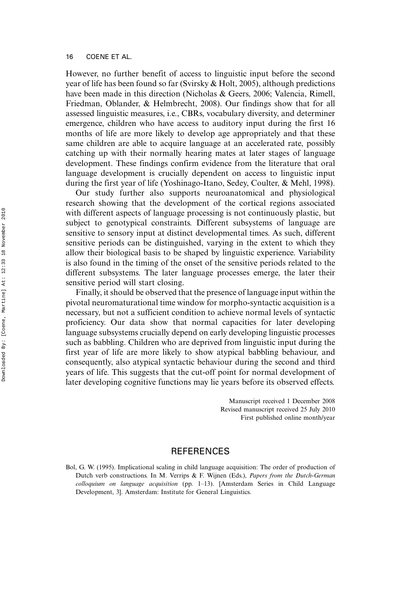However, no further benefit of access to linguistic input before the second year of life has been found so far (Svirsky & Holt, 2005), although predictions have been made in this direction (Nicholas & Geers, 2006; Valencia, Rimell, Friedman, Oblander, & Helmbrecht, 2008). Our findings show that for all assessed linguistic measures, i.e., CBRs, vocabulary diversity, and determiner emergence, children who have access to auditory input during the first 16 months of life are more likely to develop age appropriately and that these same children are able to acquire language at an accelerated rate, possibly catching up with their normally hearing mates at later stages of language development. These findings confirm evidence from the literature that oral language development is crucially dependent on access to linguistic input during the first year of life (Yoshinago-Itano, Sedey, Coulter, & Mehl, 1998).

Our study further also supports neuroanatomical and physiological research showing that the development of the cortical regions associated with different aspects of language processing is not continuously plastic, but subject to genotypical constraints. Different subsystems of language are sensitive to sensory input at distinct developmental times. As such, different sensitive periods can be distinguished, varying in the extent to which they allow their biological basis to be shaped by linguistic experience. Variability is also found in the timing of the onset of the sensitive periods related to the different subsystems. The later language processes emerge, the later their sensitive period will start closing.

Finally, it should be observed that the presence of language input within the pivotal neuromaturational time window for morpho-syntactic acquisition is a necessary, but not a sufficient condition to achieve normal levels of syntactic proficiency. Our data show that normal capacities for later developing language subsystems crucially depend on early developing linguistic processes such as babbling. Children who are deprived from linguistic input during the first year of life are more likely to show atypical babbling behaviour, and consequently, also atypical syntactic behaviour during the second and third years of life. This suggests that the cut-off point for normal development of later developing cognitive functions may lie years before its observed effects.

> Manuscript received 1 December 2008 Revised manuscript received 25 July 2010 First published online month/year

## **REFERENCES**

Bol, G. W. (1995). Implicational scaling in child language acquisition: The order of production of Dutch verb constructions. In M. Verrips & F. Wijnen (Eds.), Papers from the Dutch-German  $\textit{collogulum}$  on language acquisition (pp. 1–13). [Amsterdam Series in Child Language Development, 3]. Amsterdam: Institute for General Linguistics.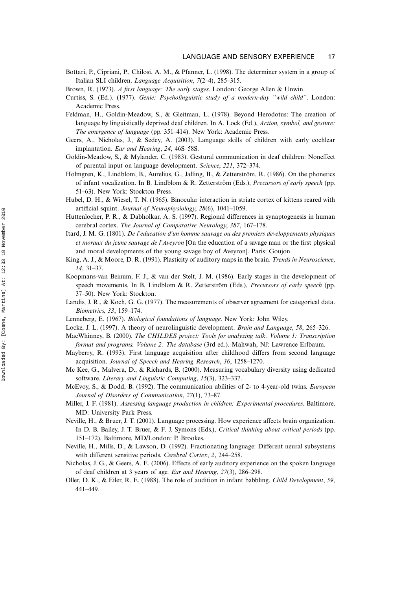- Bottari, P., Cipriani, P., Chilosi, A. M., & Pfanner, L. (1998). The determiner system in a group of Italian SLI children. Language Acquisition, 7(2-4), 285-315.
- Brown, R. (1973). A first language: The early stages. London: George Allen & Unwin.
- Curtiss, S. (Ed.). (1977). Genie: Psycholinguistic study of a modern-day ''wild child''. London: Academic Press.
- Feldman, H., Goldin-Meadow, S., & Gleitman, L. (1978). Beyond Herodotus: The creation of language by linguistically deprived deaf children. In A. Lock (Ed.), Action, symbol, and gesture: The emergence of language (pp. 351–414). New York: Academic Press.
- Geers, A., Nicholas, J., & Sedey, A. (2003). Language skills of children with early cochlear implantation. Ear and Hearing, 24, 46S-58S.
- Goldin-Meadow, S., & Mylander, C. (1983). Gestural communication in deaf children: Noneffect of parental input on language development. Science, 221, 372–374.
- Holmgren, K., Lindblom, B., Aurelius, G., Jalling, B., & Zetterström, R. (1986). On the phonetics of infant vocalization. In B. Lindblom & R. Zetterström (Eds.), *Precursors of early speech* (pp. 51–63). New York: Stockton Press.
- Hubel, D. H., & Wiesel, T. N. (1965). Binocular interaction in striate cortex of kittens reared with artificial squint. Journal of Neurophysiology, 28(6), 1041-1059.
- Huttenlocher, P. R., & Dabholkar, A. S. (1997). Regional differences in synaptogenesis in human cerebral cortex. The Journal of Comparative Neurology, 387, 167-178.
- Itard, J. M. G. (1801). De l'education d'un homme sauvage ou des premiers developpements physiques et moraux du jeune sauvage de l'Aveyron [On the education of a savage man or the first physical and moral developments of the young savage boy of Aveyron]. Paris: Goujon.
- King, A. J., & Moore, D. R. (1991). Plasticity of auditory maps in the brain. Trends in Neuroscience,  $14, 31 - 37.$
- Koopmans-van Beinum, F. J., & van der Stelt, J. M. (1986). Early stages in the development of speech movements. In B. Lindblom & R. Zetterström (Eds.), Precursors of early speech (pp. 37-50). New York: Stockton.
- Landis, J. R., & Koch, G. G. (1977). The measurements of observer agreement for categorical data. Biometrics, 33, 159-174.
- Lenneberg, E. (1967). Biological foundations of language. New York: John Wiley.
- Locke, J. L. (1997). A theory of neurolinguistic development. *Brain and Language*, 58, 265–326.
- MacWhinney, B. (2000). The CHILDES project: Tools for analyzing talk. Volume 1: Transcription format and programs. Volume 2: The database (3rd ed.). Mahwah, NJ: Lawrence Erlbaum.
- Mayberry, R. (1993). First language acquisition after childhood differs from second language acquisition. Journal of Speech and Hearing Research, 36, 1258-1270.
- Mc Kee, G., Malvera, D., & Richards, B. (2000). Measuring vocabulary diversity using dedicated software. Literary and Linguistic Computing, 15(3), 323-337.
- McEvoy, S., & Dodd, B. (1992). The communication abilities of 2- to 4-year-old twins. European Journal of Disorders of Communication, 27(1), 73-87.
- Miller, J. F. (1981). Assessing language production in children: Experimental procedures. Baltimore, MD: University Park Press.
- Neville, H., & Bruer, J. T. (2001). Language processing. How experience affects brain organization. In D. B. Bailey, J. T. Bruer, & F. J. Symons (Eds.), Critical thinking about critical periods (pp. 151-172). Baltimore, MD/London: P. Brookes.
- Neville, H., Mills, D., & Lawson, D. (1992). Fractionating language: Different neural subsystems with different sensitive periods. Cerebral Cortex, 2, 244-258.
- Nicholas, J. G., & Geers, A. E. (2006). Effects of early auditory experience on the spoken language of deaf children at 3 years of age. Ear and Hearing, 27(3), 286-298.
- Oller, D. K., & Eiler, R. E. (1988). The role of audition in infant babbling. Child Development, 59, 441449.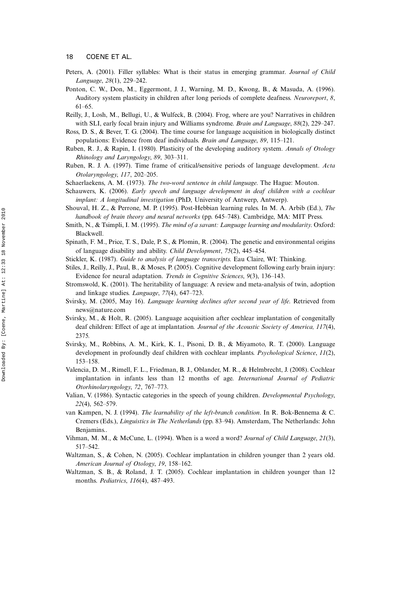- Peters, A. (2001). Filler syllables: What is their status in emerging grammar. Journal of Child Language, 28(1), 229-242.
- Ponton, C. W., Don, M., Eggermont, J. J., Warning, M. D., Kwong, B., & Masuda, A. (1996). Auditory system plasticity in children after long periods of complete deafness. Neuroreport, 8,  $61-65.$
- Reilly, J., Losh, M., Bellugi, U., & Wulfeck, B. (2004). Frog, where are you? Narratives in children with SLI, early focal brain injury and Williams syndrome. *Brain and Language*,  $88(2)$ ,  $229-247$ .
- Ross, D. S., & Bever, T. G. (2004). The time course for language acquisition in biologically distinct populations: Evidence from deaf individuals. Brain and Language, 89, 115-121.
- Ruben, R. J., & Rapin, I. (1980). Plasticity of the developing auditory system. Annals of Otology Rhinology and Laryngology, 89, 303-311.
- Ruben, R. J. A. (1997). Time frame of critical/sensitive periods of language development. Acta Otolaryngology, 117, 202-205.
- Schaerlaekens, A. M. (1973). The two-word sentence in child language. The Hague: Mouton.
- Schauwers, K. (2006). Early speech and language development in deaf children with a cochlear implant: A longitudinal investigation (PhD, University of Antwerp, Antwerp).
- Shouval, H. Z., & Perrone, M. P. (1995). Post-Hebbian learning rules. In M. A. Arbib (Ed.), The handbook of brain theory and neural networks (pp. 645-748). Cambridge, MA: MIT Press.
- Smith, N., & Tsimpli, I. M. (1995). The mind of a savant: Language learning and modularity. Oxford: Blackwell.
- Spinath, F. M., Price, T. S., Dale, P. S., & Plomin, R. (2004). The genetic and environmental origins of language disability and ability. Child Development, 75(2), 445–454.
- Stickler, K. (1987). Guide to analysis of language transcripts. Eau Claire, WI: Thinking.
- Stiles, J., Reilly, J., Paul, B., & Moses, P. (2005). Cognitive development following early brain injury: Evidence for neural adaptation. Trends in Cognitive Sciences, 9(3), 136–143.
- Stromswold, K. (2001). The heritability of language: A review and meta-analysis of twin, adoption and linkage studies. Language,  $77(4)$ ,  $647-723$ .
- Svirsky, M. (2005, May 16). Language learning declines after second year of life. Retrieved from news@nature.com
- Svirsky, M., & Holt, R. (2005). Language acquisition after cochlear implantation of congenitally deaf children: Effect of age at implantation. Journal of the Acoustic Society of America, 117(4), 2375.
- Svirsky, M., Robbins, A. M., Kirk, K. I., Pisoni, D. B., & Miyamoto, R. T. (2000). Language development in profoundly deaf children with cochlear implants. *Psychological Science*, 11(2), 153-158.
- Valencia, D. M., Rimell, F. L., Friedman, B. J., Oblander, M. R., & Helmbrecht, J. (2008). Cochlear implantation in infants less than 12 months of age. International Journal of Pediatric Otorhinolaryngology, 72, 767-773.
- Valian, V. (1986). Syntactic categories in the speech of young children. Developmental Psychology, 22(4), 562-579.
- van Kampen, N. J. (1994). The learnability of the left-branch condition. In R. Bok-Bennema & C. Cremers (Eds.), *Linguistics in The Netherlands* (pp. 83–94). Amsterdam, The Netherlands: John Benjamins..
- Vihman, M. M., & McCune, L. (1994). When is a word a word? Journal of Child Language, 21(3), 517-542.
- Waltzman, S., & Cohen, N. (2005). Cochlear implantation in children younger than 2 years old. American Journal of Otology, 19, 158-162.
- Waltzman, S. B., & Roland, J. T. (2005). Cochlear implantation in children younger than 12 months. Pediatrics, 116(4), 487-493.